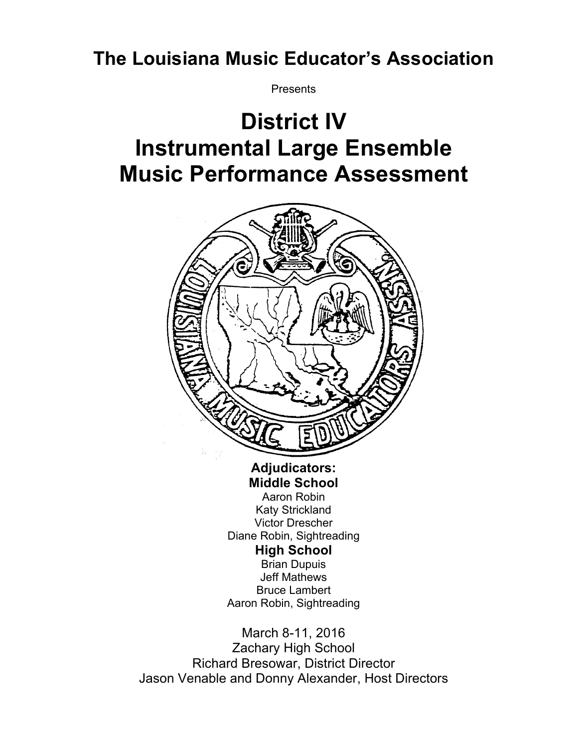## **The Louisiana Music Educator's Association**

**Presents** 

## **District IV Instrumental Large Ensemble Music Performance Assessment**



**Adjudicators: Middle School** Aaron Robin Katy Strickland Victor Drescher Diane Robin, Sightreading **High School** Brian Dupuis Jeff Mathews Bruce Lambert Aaron Robin, Sightreading

March 8-11, 2016 Zachary High School Richard Bresowar, District Director Jason Venable and Donny Alexander, Host Directors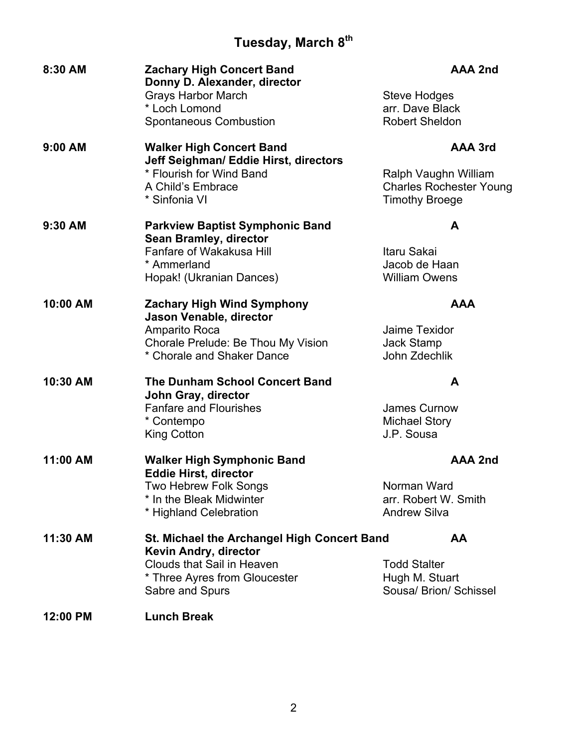## **Tuesday, March 8th**

| 8:30 AM   | <b>Zachary High Concert Band</b><br>Donny D. Alexander, director         | AAA 2nd                        |
|-----------|--------------------------------------------------------------------------|--------------------------------|
|           | <b>Grays Harbor March</b>                                                | <b>Steve Hodges</b>            |
|           | * Loch Lomond                                                            | arr. Dave Black                |
|           | <b>Spontaneous Combustion</b>                                            | <b>Robert Sheldon</b>          |
| $9:00$ AM | <b>Walker High Concert Band</b><br>Jeff Seighman/ Eddie Hirst, directors | AAA 3rd                        |
|           | * Flourish for Wind Band                                                 | Ralph Vaughn William           |
|           | A Child's Embrace                                                        | <b>Charles Rochester Young</b> |
|           | * Sinfonia VI                                                            | <b>Timothy Broege</b>          |
| 9:30 AM   | <b>Parkview Baptist Symphonic Band</b><br><b>Sean Bramley, director</b>  | A                              |
|           | Fanfare of Wakakusa Hill                                                 | Itaru Sakai                    |
|           | * Ammerland                                                              | Jacob de Haan                  |
|           | Hopak! (Ukranian Dances)                                                 | <b>William Owens</b>           |
| 10:00 AM  | <b>Zachary High Wind Symphony</b>                                        | <b>AAA</b>                     |
|           | Jason Venable, director                                                  |                                |
|           | <b>Amparito Roca</b><br>Chorale Prelude: Be Thou My Vision               | Jaime Texidor<br>Jack Stamp    |
|           | * Chorale and Shaker Dance                                               | John Zdechlik                  |
|           |                                                                          |                                |
| 10:30 AM  | <b>The Dunham School Concert Band</b><br>John Gray, director             | A                              |
|           | <b>Fanfare and Flourishes</b>                                            | James Curnow                   |
|           | * Contempo                                                               | <b>Michael Story</b>           |
|           | <b>King Cotton</b>                                                       | J.P. Sousa                     |
| 11:00 AM  | <b>Walker High Symphonic Band</b>                                        | <b>AAA 2nd</b>                 |
|           | <b>Eddie Hirst, director</b>                                             |                                |
|           | Two Hebrew Folk Songs                                                    | Norman Ward                    |
|           | * In the Bleak Midwinter                                                 | arr. Robert W. Smith           |
|           | * Highland Celebration                                                   | <b>Andrew Silva</b>            |
| 11:30 AM  | St. Michael the Archangel High Concert Band<br>Kevin Andry, director     | AA                             |
|           | <b>Clouds that Sail in Heaven</b>                                        | <b>Todd Stalter</b>            |
|           | * Three Ayres from Gloucester                                            | Hugh M. Stuart                 |
|           | Sabre and Spurs                                                          | Sousa/ Brion/ Schissel         |
| 12:00 PM  | <b>Lunch Break</b>                                                       |                                |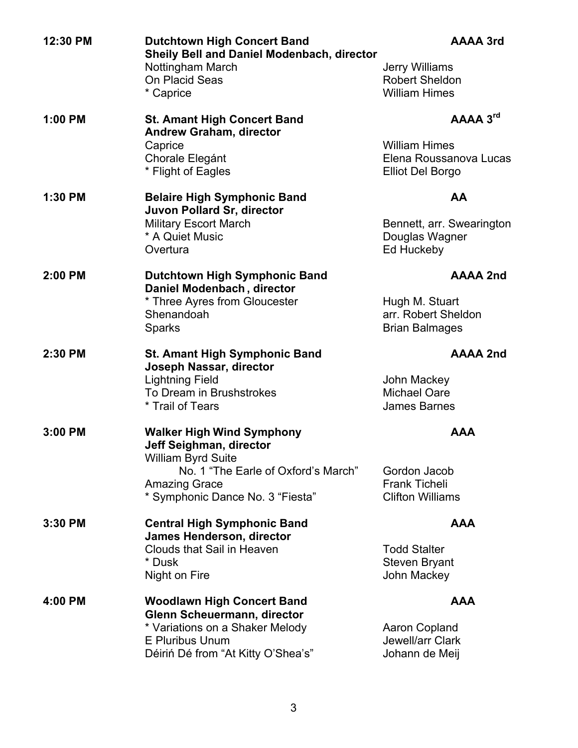| 12:30 PM | <b>Dutchtown High Concert Band</b><br>Sheily Bell and Daniel Modenbach, director<br>Nottingham March<br>On Placid Seas<br>* Caprice                                                         | <b>AAAA 3rd</b><br>Jerry Williams<br><b>Robert Sheldon</b><br><b>William Himes</b>    |
|----------|---------------------------------------------------------------------------------------------------------------------------------------------------------------------------------------------|---------------------------------------------------------------------------------------|
| 1:00 PM  | <b>St. Amant High Concert Band</b><br><b>Andrew Graham, director</b><br>Caprice<br>Chorale Elegánt<br>* Flight of Eagles                                                                    | AAAA 3rd<br><b>William Himes</b><br>Elena Roussanova Lucas<br><b>Elliot Del Borgo</b> |
| 1:30 PM  | <b>Belaire High Symphonic Band</b><br>Juvon Pollard Sr, director<br><b>Military Escort March</b><br>* A Quiet Music<br>Overtura                                                             | AA<br>Bennett, arr. Swearington<br>Douglas Wagner<br>Ed Huckeby                       |
| 2:00 PM  | <b>Dutchtown High Symphonic Band</b><br>Daniel Modenbach, director<br>* Three Ayres from Gloucester<br>Shenandoah<br><b>Sparks</b>                                                          | <b>AAAA 2nd</b><br>Hugh M. Stuart<br>arr. Robert Sheldon<br><b>Brian Balmages</b>     |
| 2:30 PM  | <b>St. Amant High Symphonic Band</b><br>Joseph Nassar, director<br><b>Lightning Field</b><br>To Dream in Brushstrokes<br>* Trail of Tears                                                   | <b>AAAA 2nd</b><br>John Mackey<br><b>Michael Oare</b><br><b>James Barnes</b>          |
| 3:00 PM  | <b>Walker High Wind Symphony</b><br><b>Jeff Seighman, director</b><br>William Byrd Suite<br>No. 1 "The Earle of Oxford's March"<br><b>Amazing Grace</b><br>* Symphonic Dance No. 3 "Fiesta" | AAA<br>Gordon Jacob<br><b>Frank Ticheli</b><br><b>Clifton Williams</b>                |
| 3:30 PM  | <b>Central High Symphonic Band</b><br><b>James Henderson, director</b><br>Clouds that Sail in Heaven<br>* Dusk<br>Night on Fire                                                             | <b>AAA</b><br><b>Todd Stalter</b><br>Steven Bryant<br>John Mackey                     |
| 4:00 PM  | <b>Woodlawn High Concert Band</b><br>Glenn Scheuermann, director<br>* Variations on a Shaker Melody<br><b>E Pluribus Unum</b><br>Déiriń Dé from "At Kitty O'Shea's"                         | <b>AAA</b><br>Aaron Copland<br>Jewell/arr Clark<br>Johann de Meij                     |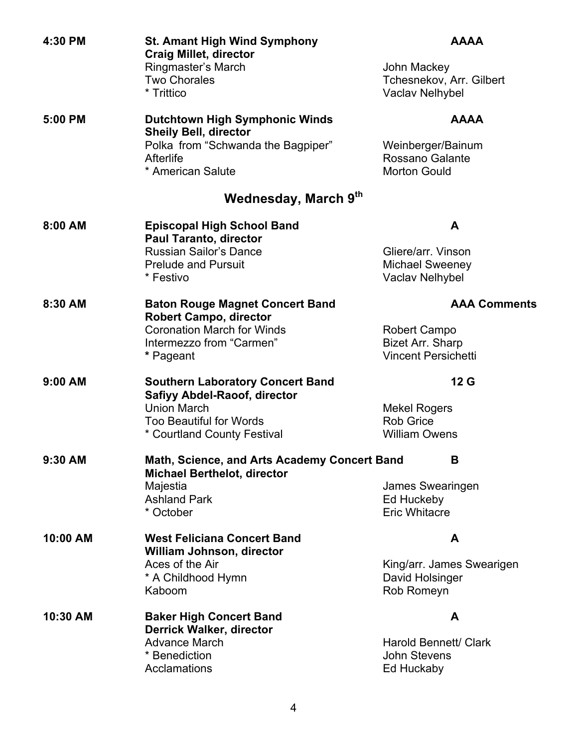| 4:30 PM   | <b>St. Amant High Wind Symphony</b><br><b>Craig Millet, director</b>               | <b>AAAA</b>                                                |
|-----------|------------------------------------------------------------------------------------|------------------------------------------------------------|
|           | Ringmaster's March<br><b>Two Chorales</b><br>* Trittico                            | John Mackey<br>Tchesnekov, Arr. Gilbert<br>Vaclav Nelhybel |
|           |                                                                                    |                                                            |
| 5:00 PM   | <b>Dutchtown High Symphonic Winds</b><br><b>Sheily Bell, director</b>              | <b>AAAA</b>                                                |
|           | Polka from "Schwanda the Bagpiper"                                                 | Weinberger/Bainum                                          |
|           | Afterlife<br>* American Salute                                                     | Rossano Galante<br><b>Morton Gould</b>                     |
|           | Wednesday, March 9th                                                               |                                                            |
| 8:00 AM   | <b>Episcopal High School Band</b><br><b>Paul Taranto, director</b>                 | A                                                          |
|           | <b>Russian Sailor's Dance</b>                                                      | Gliere/arr. Vinson                                         |
|           | <b>Prelude and Pursuit</b><br>* Festivo                                            | <b>Michael Sweeney</b><br>Vaclav Nelhybel                  |
| 8:30 AM   | <b>Baton Rouge Magnet Concert Band</b><br><b>Robert Campo, director</b>            | <b>AAA Comments</b>                                        |
|           | <b>Coronation March for Winds</b>                                                  | Robert Campo                                               |
|           | Intermezzo from "Carmen"                                                           | <b>Bizet Arr. Sharp</b>                                    |
|           | * Pageant                                                                          | <b>Vincent Persichetti</b>                                 |
| $9:00$ AM | <b>Southern Laboratory Concert Band</b>                                            | 12 G                                                       |
|           | <b>Safiyy Abdel-Raoof, director</b><br><b>Union March</b>                          | <b>Mekel Rogers</b>                                        |
|           | <b>Too Beautiful for Words</b>                                                     | <b>Rob Grice</b>                                           |
|           | * Courtland County Festival                                                        | <b>William Owens</b>                                       |
| 9:30 AM   | Math, Science, and Arts Academy Concert Band<br><b>Michael Berthelot, director</b> | B                                                          |
|           | Majestia                                                                           | James Swearingen                                           |
|           | <b>Ashland Park</b>                                                                | Ed Huckeby                                                 |
|           | * October                                                                          | <b>Eric Whitacre</b>                                       |
| 10:00 AM  | <b>West Feliciana Concert Band</b><br>William Johnson, director                    | A                                                          |
|           | Aces of the Air                                                                    | King/arr. James Swearigen                                  |
|           | * A Childhood Hymn<br>Kaboom                                                       | David Holsinger<br>Rob Romeyn                              |
| 10:30 AM  | <b>Baker High Concert Band</b>                                                     | A                                                          |
|           | <b>Derrick Walker, director</b><br><b>Advance March</b>                            | Harold Bennett/ Clark                                      |
|           | * Benediction                                                                      | <b>John Stevens</b>                                        |
|           | Acclamations                                                                       | Ed Huckaby                                                 |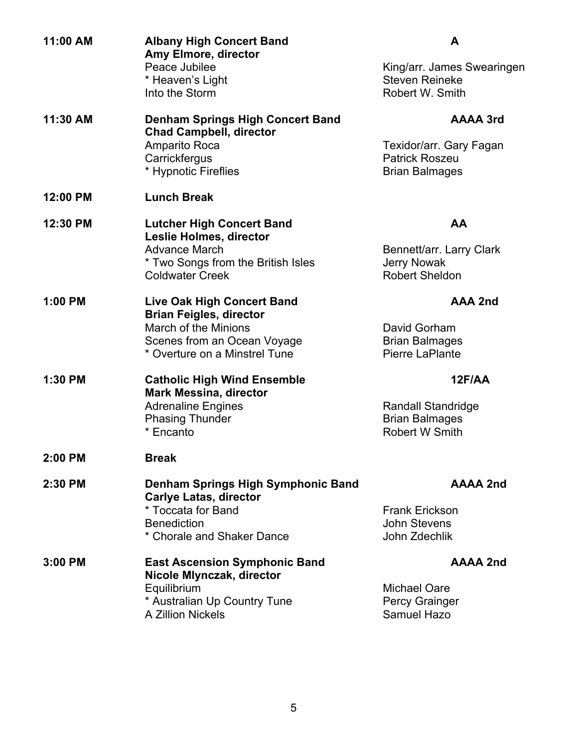| 11:00 AM | <b>Albany High Concert Band</b><br>Amy Elmore, director<br>Peace Jubilee  | A<br>King/arr. James Swearingen                    |
|----------|---------------------------------------------------------------------------|----------------------------------------------------|
|          | * Heaven's Light<br>Into the Storm                                        | <b>Steven Reineke</b><br>Robert W. Smith           |
| 11:30 AM | <b>Denham Springs High Concert Band</b><br><b>Chad Campbell, director</b> | <b>AAAA 3rd</b>                                    |
|          | Amparito Roca                                                             | Texidor/arr. Gary Fagan                            |
|          | Carrickfergus                                                             | <b>Patrick Roszeu</b>                              |
|          | * Hypnotic Fireflies                                                      | <b>Brian Balmages</b>                              |
| 12:00 PM | <b>Lunch Break</b>                                                        |                                                    |
| 12:30 PM | <b>Lutcher High Concert Band</b><br>Leslie Holmes, director               | AA                                                 |
|          | <b>Advance March</b>                                                      | Bennett/arr. Larry Clark                           |
|          | * Two Songs from the British Isles                                        | <b>Jerry Nowak</b>                                 |
|          | <b>Coldwater Creek</b>                                                    | <b>Robert Sheldon</b>                              |
| 1:00 PM  | <b>Live Oak High Concert Band</b>                                         | <b>AAA 2nd</b>                                     |
|          | <b>Brian Feigles, director</b><br><b>March of the Minions</b>             |                                                    |
|          | Scenes from an Ocean Voyage                                               | David Gorham<br><b>Brian Balmages</b>              |
|          | * Overture on a Minstrel Tune                                             | Pierre LaPlante                                    |
|          |                                                                           |                                                    |
| 1:30 PM  | <b>Catholic High Wind Ensemble</b>                                        | 12F/AA                                             |
|          | <b>Mark Messina, director</b>                                             |                                                    |
|          | <b>Adrenaline Engines</b><br><b>Phasing Thunder</b>                       | <b>Randall Standridge</b><br><b>Brian Balmages</b> |
|          | * Encanto                                                                 | Robert W Smith                                     |
|          |                                                                           |                                                    |
| 2:00 PM  | <b>Break</b>                                                              |                                                    |
| 2:30 PM  | Denham Springs High Symphonic Band<br><b>Carlye Latas, director</b>       | <b>AAAA 2nd</b>                                    |
|          | * Toccata for Band                                                        | <b>Frank Erickson</b>                              |
|          | <b>Benediction</b>                                                        | <b>John Stevens</b>                                |
|          | * Chorale and Shaker Dance                                                | John Zdechlik                                      |
| 3:00 PM  | <b>East Ascension Symphonic Band</b><br>Nicole Mlynczak, director         | <b>AAAA 2nd</b>                                    |
|          | Equilibrium                                                               | <b>Michael Oare</b>                                |
|          | * Australian Up Country Tune                                              | Percy Grainger                                     |
|          | A Zillion Nickels                                                         | Samuel Hazo                                        |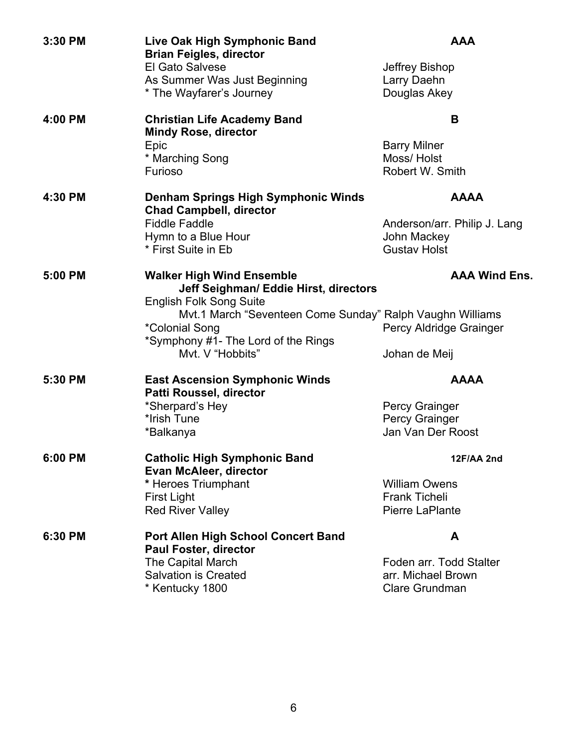| 3:30 PM | Live Oak High Symphonic Band<br><b>Brian Feigles, director</b><br>El Gato Salvese<br>As Summer Was Just Beginning<br>* The Wayfarer's Journey                                                                                                         | <b>AAA</b><br>Jeffrey Bishop<br>Larry Daehn<br>Douglas Akey                       |
|---------|-------------------------------------------------------------------------------------------------------------------------------------------------------------------------------------------------------------------------------------------------------|-----------------------------------------------------------------------------------|
| 4:00 PM | <b>Christian Life Academy Band</b><br><b>Mindy Rose, director</b><br>Epic<br>* Marching Song<br>Furioso                                                                                                                                               | B<br><b>Barry Milner</b><br>Moss/Holst<br>Robert W. Smith                         |
| 4:30 PM | Denham Springs High Symphonic Winds<br><b>Chad Campbell, director</b><br><b>Fiddle Faddle</b><br>Hymn to a Blue Hour<br>* First Suite in Eb                                                                                                           | <b>AAAA</b><br>Anderson/arr. Philip J. Lang<br>John Mackey<br><b>Gustav Holst</b> |
| 5:00 PM | <b>Walker High Wind Ensemble</b><br>Jeff Seighman/ Eddie Hirst, directors<br><b>English Folk Song Suite</b><br>Mvt.1 March "Seventeen Come Sunday" Ralph Vaughn Williams<br>*Colonial Song<br>*Symphony #1- The Lord of the Rings<br>Mvt. V "Hobbits" | <b>AAA Wind Ens.</b><br>Percy Aldridge Grainger<br>Johan de Meij                  |
| 5:30 PM | <b>East Ascension Symphonic Winds</b><br>Patti Roussel, director<br>*Sherpard's Hey<br>*Irish Tune<br>*Balkanya                                                                                                                                       | <b>AAAA</b><br>Percy Grainger<br>Percy Grainger<br>Jan Van Der Roost              |
| 6:00 PM | <b>Catholic High Symphonic Band</b><br><b>Evan McAleer, director</b><br>* Heroes Triumphant<br><b>First Light</b><br><b>Red River Valley</b>                                                                                                          | 12F/AA 2nd<br><b>William Owens</b><br><b>Frank Ticheli</b><br>Pierre LaPlante     |
| 6:30 PM | <b>Port Allen High School Concert Band</b><br><b>Paul Foster, director</b><br>The Capital March<br><b>Salvation is Created</b><br>* Kentucky 1800                                                                                                     | A<br>Foden arr. Todd Stalter<br>arr. Michael Brown<br><b>Clare Grundman</b>       |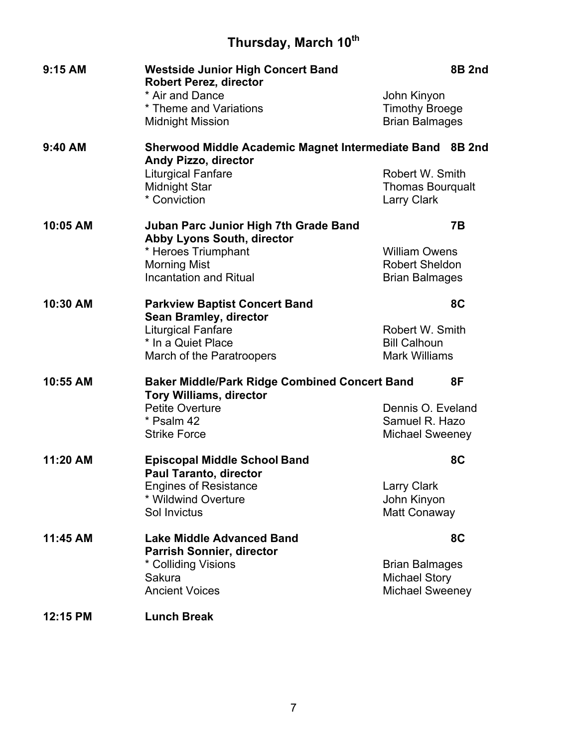## **Thursday, March 10th**

| 9:15 AM  | <b>Westside Junior High Concert Band</b><br><b>Robert Perez, director</b>                    |                         | <b>8B 2nd</b> |
|----------|----------------------------------------------------------------------------------------------|-------------------------|---------------|
|          | * Air and Dance                                                                              | John Kinyon             |               |
|          | * Theme and Variations                                                                       | <b>Timothy Broege</b>   |               |
|          | <b>Midnight Mission</b>                                                                      | <b>Brian Balmages</b>   |               |
| 9:40 AM  | Sherwood Middle Academic Magnet Intermediate Band 8B 2nd<br><b>Andy Pizzo, director</b>      |                         |               |
|          | <b>Liturgical Fanfare</b>                                                                    | Robert W. Smith         |               |
|          | <b>Midnight Star</b>                                                                         | <b>Thomas Bourgualt</b> |               |
|          | * Conviction                                                                                 | <b>Larry Clark</b>      |               |
| 10:05 AM | <b>Juban Parc Junior High 7th Grade Band</b><br>Abby Lyons South, director                   |                         | 7B            |
|          | * Heroes Triumphant                                                                          | <b>William Owens</b>    |               |
|          | <b>Morning Mist</b>                                                                          | <b>Robert Sheldon</b>   |               |
|          | <b>Incantation and Ritual</b>                                                                | <b>Brian Balmages</b>   |               |
| 10:30 AM | <b>Parkview Baptist Concert Band</b>                                                         |                         | 8C            |
|          | <b>Sean Bramley, director</b>                                                                |                         |               |
|          | <b>Liturgical Fanfare</b>                                                                    | Robert W. Smith         |               |
|          | * In a Quiet Place                                                                           | <b>Bill Calhoun</b>     |               |
|          | March of the Paratroopers                                                                    | <b>Mark Williams</b>    |               |
| 10:55 AM | <b>Baker Middle/Park Ridge Combined Concert Band</b><br>8F<br><b>Tory Williams, director</b> |                         |               |
|          | <b>Petite Overture</b>                                                                       | Dennis O. Eveland       |               |
|          | * Psalm 42                                                                                   | Samuel R. Hazo          |               |
|          | <b>Strike Force</b>                                                                          | <b>Michael Sweeney</b>  |               |
| 11:20 AM | <b>Episcopal Middle School Band</b><br><b>Paul Taranto, director</b>                         |                         | 8C            |
|          | <b>Engines of Resistance</b>                                                                 | <b>Larry Clark</b>      |               |
|          | * Wildwind Overture                                                                          | John Kinyon             |               |
|          | Sol Invictus                                                                                 | Matt Conaway            |               |
| 11:45 AM | <b>Lake Middle Advanced Band</b>                                                             |                         | 8C            |
|          | <b>Parrish Sonnier, director</b>                                                             |                         |               |
|          | * Colliding Visions                                                                          | <b>Brian Balmages</b>   |               |
|          | Sakura                                                                                       | <b>Michael Story</b>    |               |
|          | <b>Ancient Voices</b>                                                                        | <b>Michael Sweeney</b>  |               |
| 12:15 PM | <b>Lunch Break</b>                                                                           |                         |               |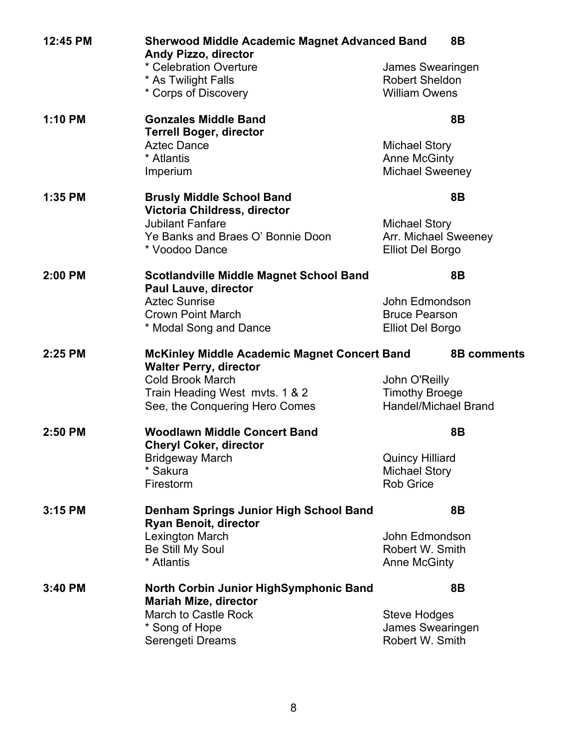| 12:45 PM | <b>Sherwood Middle Academic Magnet Advanced Band</b><br><b>8B</b><br><b>Andy Pizzo, director</b> |                                     |
|----------|--------------------------------------------------------------------------------------------------|-------------------------------------|
|          | * Celebration Overture                                                                           | James Swearingen                    |
|          | * As Twilight Falls                                                                              | <b>Robert Sheldon</b>               |
|          | * Corps of Discovery                                                                             | <b>William Owens</b>                |
| 1:10 PM  | <b>Gonzales Middle Band</b><br><b>Terrell Boger, director</b>                                    | 8B                                  |
|          | <b>Aztec Dance</b>                                                                               | <b>Michael Story</b>                |
|          | * Atlantis                                                                                       | <b>Anne McGinty</b>                 |
|          | Imperium                                                                                         | Michael Sweeney                     |
| 1:35 PM  | <b>Brusly Middle School Band</b><br>Victoria Childress, director                                 | 8B                                  |
|          | <b>Jubilant Fanfare</b>                                                                          | <b>Michael Story</b>                |
|          | Ye Banks and Braes O' Bonnie Doon                                                                | Arr. Michael Sweeney                |
|          | * Voodoo Dance                                                                                   | <b>Elliot Del Borgo</b>             |
| 2:00 PM  | <b>Scotlandville Middle Magnet School Band</b><br><b>Paul Lauve, director</b>                    | 8B                                  |
|          | <b>Aztec Sunrise</b>                                                                             | John Edmondson                      |
|          | <b>Crown Point March</b>                                                                         | <b>Bruce Pearson</b>                |
|          | * Modal Song and Dance                                                                           | <b>Elliot Del Borgo</b>             |
|          |                                                                                                  |                                     |
| 2:25 PM  | <b>McKinley Middle Academic Magnet Concert Band</b><br><b>Walter Perry, director</b>             | <b>8B comments</b>                  |
|          | <b>Cold Brook March</b>                                                                          | John O'Reilly                       |
|          | Train Heading West myts. 1 & 2                                                                   | <b>Timothy Broege</b>               |
|          | See, the Conquering Hero Comes                                                                   | <b>Handel/Michael Brand</b>         |
| 2:50 PM  | <b>Woodlawn Middle Concert Band</b><br><b>Cheryl Coker, director</b>                             | 8B                                  |
|          | <b>Bridgeway March</b>                                                                           | <b>Quincy Hilliard</b>              |
|          | * Sakura                                                                                         | <b>Michael Story</b>                |
|          | Firestorm                                                                                        | <b>Rob Grice</b>                    |
| 3:15 PM  | <b>Denham Springs Junior High School Band</b><br><b>Ryan Benoit, director</b>                    | 8B                                  |
|          | Lexington March                                                                                  | John Edmondson                      |
|          | Be Still My Soul                                                                                 | Robert W. Smith                     |
|          | * Atlantis                                                                                       | <b>Anne McGinty</b>                 |
| 3:40 PM  | North Corbin Junior HighSymphonic Band                                                           | 8B                                  |
|          | <b>Mariah Mize, director</b>                                                                     |                                     |
|          | March to Castle Rock                                                                             | Steve Hodges                        |
|          | * Song of Hope<br>Serengeti Dreams                                                               | James Swearingen<br>Robert W. Smith |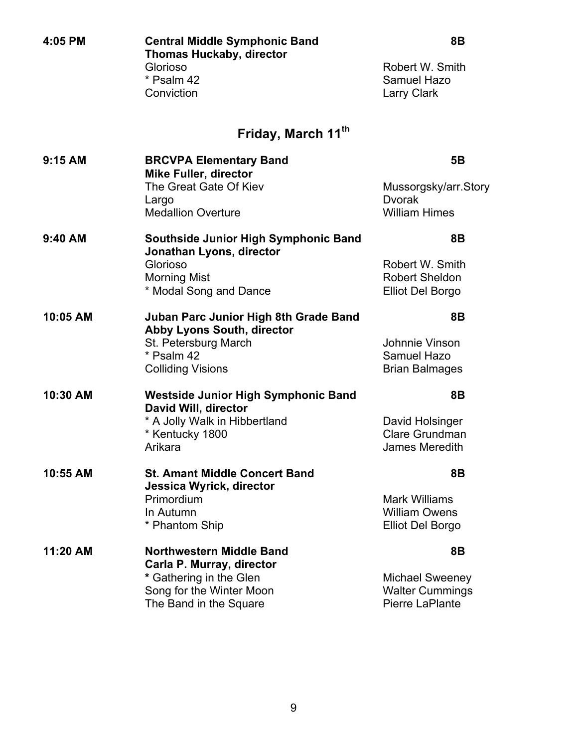| 4:05 PM  | <b>Central Middle Symphonic Band</b><br><b>Thomas Huckaby, director</b><br>Glorioso<br>* Psalm 42<br>Conviction                                     | 8B<br>Robert W. Smith<br>Samuel Hazo<br><b>Larry Clark</b>                 |
|----------|-----------------------------------------------------------------------------------------------------------------------------------------------------|----------------------------------------------------------------------------|
|          | Friday, March 11 <sup>th</sup>                                                                                                                      |                                                                            |
| 9:15 AM  | <b>BRCVPA Elementary Band</b><br><b>Mike Fuller, director</b><br>The Great Gate Of Kiev<br>Largo<br><b>Medallion Overture</b>                       | <b>5B</b><br>Mussorgsky/arr.Story<br><b>Dvorak</b><br><b>William Himes</b> |
| 9:40 AM  | <b>Southside Junior High Symphonic Band</b><br>Jonathan Lyons, director<br>Glorioso<br><b>Morning Mist</b><br>* Modal Song and Dance                | 8B<br>Robert W. Smith<br><b>Robert Sheldon</b><br><b>Elliot Del Borgo</b>  |
| 10:05 AM | <b>Juban Parc Junior High 8th Grade Band</b><br><b>Abby Lyons South, director</b><br>St. Petersburg March<br>* Psalm 42<br><b>Colliding Visions</b> | 8B<br>Johnnie Vinson<br>Samuel Hazo<br><b>Brian Balmages</b>               |
| 10:30 AM | <b>Westside Junior High Symphonic Band</b><br>David Will, director<br>* A Jolly Walk in Hibbertland<br>* Kentucky 1800<br>Arikara                   | 8B<br>David Holsinger<br>Clare Grundman<br>James Meredith                  |
| 10:55 AM | <b>St. Amant Middle Concert Band</b><br>Jessica Wyrick, director<br>Primordium<br>In Autumn<br>* Phantom Ship                                       | 8Β<br><b>Mark Williams</b><br><b>William Owens</b><br>Elliot Del Borgo     |
| 11:20 AM | Northwestern Middle Band<br>Carla P. Murray, director<br>* Gathering in the Glen<br>Song for the Winter Moon<br>The Band in the Square              | 8B<br><b>Michael Sweeney</b><br><b>Walter Cummings</b><br>Pierre LaPlante  |